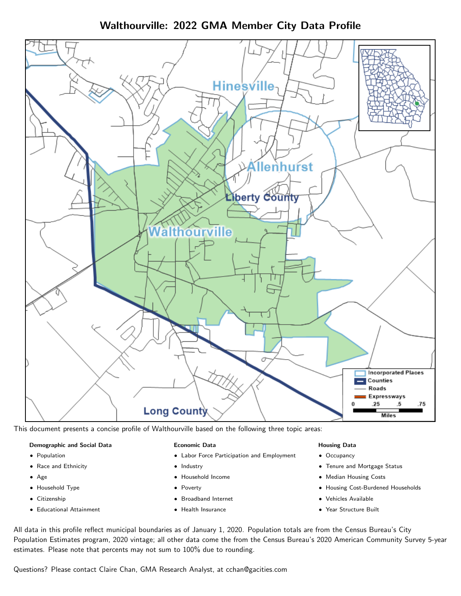Walthourville: 2022 GMA Member City Data Profile



This document presents a concise profile of Walthourville based on the following three topic areas:

#### Demographic and Social Data

- **•** Population
- Race and Ethnicity
- Age
- Household Type
- **Citizenship**
- Educational Attainment

#### Economic Data

- Labor Force Participation and Employment
- Industry
- Household Income
- Poverty
- Broadband Internet
- Health Insurance

#### Housing Data

- Occupancy
- Tenure and Mortgage Status
- Median Housing Costs
- Housing Cost-Burdened Households
- Vehicles Available
- Year Structure Built

All data in this profile reflect municipal boundaries as of January 1, 2020. Population totals are from the Census Bureau's City Population Estimates program, 2020 vintage; all other data come the from the Census Bureau's 2020 American Community Survey 5-year estimates. Please note that percents may not sum to 100% due to rounding.

Questions? Please contact Claire Chan, GMA Research Analyst, at [cchan@gacities.com.](mailto:cchan@gacities.com)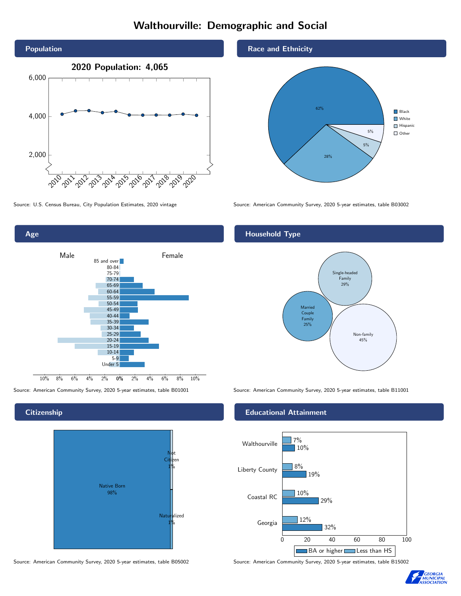# Walthourville: Demographic and Social



Age

**Citizenship** 

0% 2% 4% 6% 8% 10% Male and America Contract Contract Contract Contract Contract Contract Contract Contract Contract Contract Contract Contract Contract Contract Contract Contract Contract Contract Contract Contract Contract Contract Contrac 10% 8% 6% 4% 2% 85 and over 80-84 75-79 70-74 65-69 60-64 55-59 50-54 45-49 40-44 35-39 30-34 25-29 20-24 15-19 10-14 5-9 Under 5



Source: American Community Survey, 2020 5-year estimates, table B05002 Source: American Community Survey, 2020 5-year estimates, table B15002

#### Race and Ethnicity



Source: U.S. Census Bureau, City Population Estimates, 2020 vintage Source: American Community Survey, 2020 5-year estimates, table B03002

#### Household Type



Source: American Community Survey, 2020 5-year estimates, table B01001 Source: American Community Survey, 2020 5-year estimates, table B11001

#### Educational Attainment



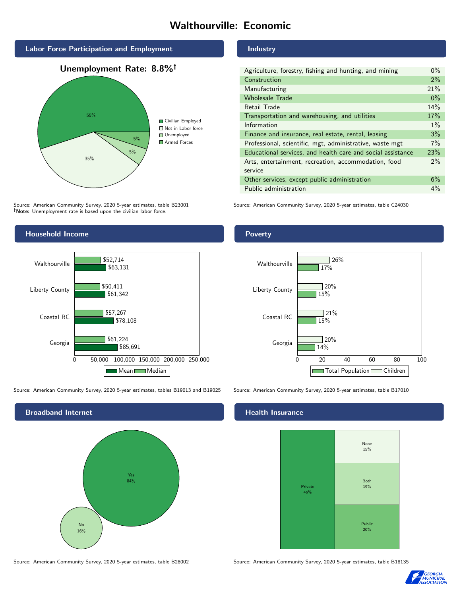# Walthourville: Economic







Source: American Community Survey, 2020 5-year estimates, table B23001 Note: Unemployment rate is based upon the civilian labor force.

### Household Income 0 50,000 100,000 150,000 200,000 250,000 Georgia Coastal RC Liberty County Walthourville \$85,691 \$78,108 \$61,342 \$63,131 \$61,224 \$57,267 \$50,411 \$52,714 Mean Median

Source: American Community Survey, 2020 5-year estimates, tables B19013 and B19025 Source: American Community Survey, 2020 5-year estimates, table B17010



#### Industry

| Agriculture, forestry, fishing and hunting, and mining      | $0\%$ |
|-------------------------------------------------------------|-------|
| Construction                                                | 2%    |
| Manufacturing                                               | 21%   |
| <b>Wholesale Trade</b>                                      | $0\%$ |
| Retail Trade                                                | 14%   |
| Transportation and warehousing, and utilities               | 17%   |
| Information                                                 | $1\%$ |
| Finance and insurance, real estate, rental, leasing         | 3%    |
| Professional, scientific, mgt, administrative, waste mgt    | $7\%$ |
| Educational services, and health care and social assistance | 23%   |
| Arts, entertainment, recreation, accommodation, food        | $2\%$ |
| service                                                     |       |
| Other services, except public administration                | 6%    |
| Public administration                                       | $4\%$ |

Source: American Community Survey, 2020 5-year estimates, table C24030

#### Poverty



#### Health Insurance



Source: American Community Survey, 2020 5-year estimates, table B28002 Source: American Community Survey, 2020 5-year estimates, table B18135